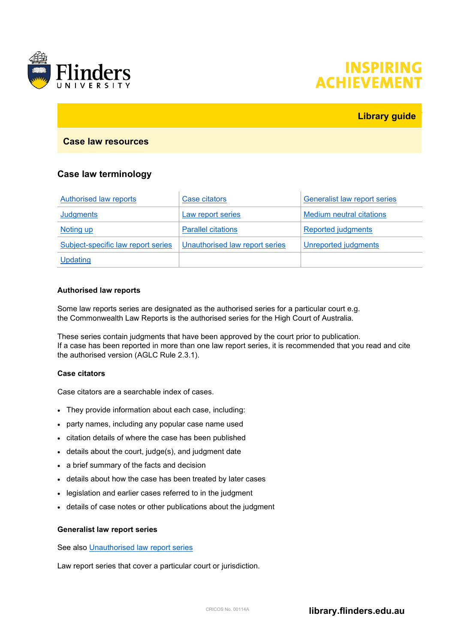

# **INSPIRING ACHIEVEMEN**

# **Library guide**

## **Case law resources**

# **Case law terminology**

| Authorised law reports             | Case citators                  | <b>Generalist law report series</b> |
|------------------------------------|--------------------------------|-------------------------------------|
| Judgments                          | Law report series              | <b>Medium neutral citations</b>     |
| <b>Noting up</b>                   | <b>Parallel citations</b>      | Reported judgments                  |
| Subject-specific law report series | Unauthorised law report series | Unreported judgments                |
| <b>Updating</b>                    |                                |                                     |

#### <span id="page-0-0"></span>**Authorised law reports**

Some law reports series are designated as the authorised series for a particular court e.g. the Commonwealth Law Reports is the authorised series for the High Court of Australia.

These series contain judgments that have been approved by the court prior to publication. If a case has been reported in more than one law report series, it is recommended that you read and cite the authorised version (AGLC Rule 2.3.1).

## <span id="page-0-1"></span>**Case citators**

Case citators are a searchable index of cases.

- They provide information about each case, including:
- party names, including any popular case name used
- citation details of where the case has been published
- details about the court, judge(s), and judgment date
- a brief summary of the facts and decision
- details about how the case has been treated by later cases
- legislation and earlier cases referred to in the judgment
- details of case notes or other publications about the judgment

#### <span id="page-0-2"></span>**Generalist law report series**

See also [Unauthorised law report series](#page-2-1)

Law report series that cover a particular court or jurisdiction.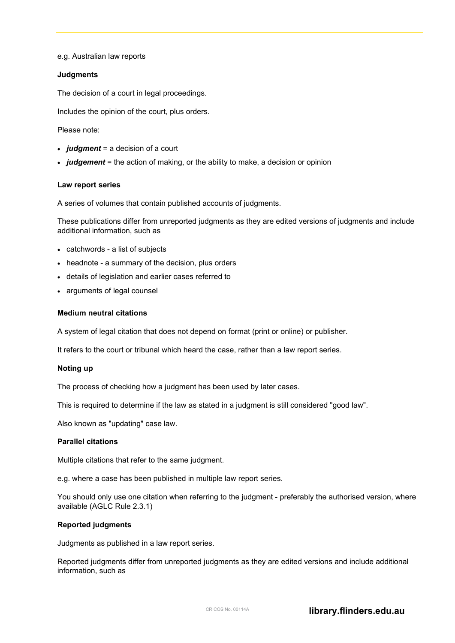e.g. Australian law reports

#### <span id="page-1-0"></span>**Judgments**

The decision of a court in legal proceedings.

Includes the opinion of the court, plus orders.

Please note:

- *judgment* = a decision of a court
- *judgement* = the action of making, or the ability to make, a decision or opinion

#### <span id="page-1-1"></span>**Law report series**

A series of volumes that contain published accounts of judgments.

These publications differ from unreported judgments as they are edited versions of judgments and include additional information, such as

- catchwords a list of subjects
- headnote a summary of the decision, plus orders
- details of legislation and earlier cases referred to
- arguments of legal counsel

#### <span id="page-1-2"></span>**Medium neutral citations**

A system of legal citation that does not depend on format (print or online) or publisher.

It refers to the court or tribunal which heard the case, rather than a law report series.

#### <span id="page-1-3"></span>**Noting up**

The process of checking how a judgment has been used by later cases.

This is required to determine if the law as stated in a judgment is still considered "good law".

Also known as "updating" case law.

#### <span id="page-1-4"></span>**Parallel citations**

Multiple citations that refer to the same judgment.

e.g. where a case has been published in multiple law report series.

You should only use one citation when referring to the judgment - preferably the authorised version, where available (AGLC Rule 2.3.1)

#### <span id="page-1-5"></span>**Reported judgments**

Judgments as published in a law report series.

Reported judgments differ from unreported judgments as they are edited versions and include additional information, such as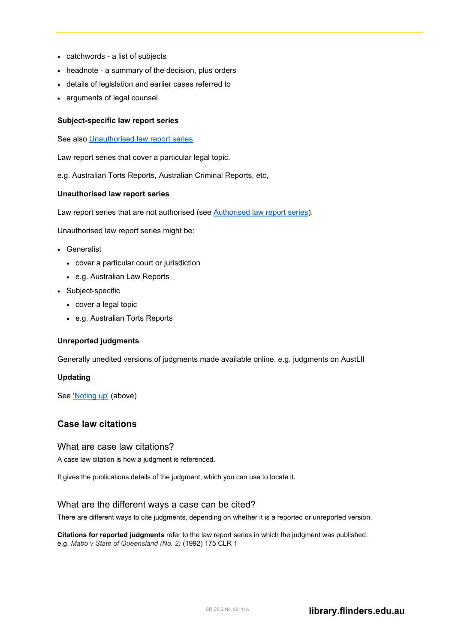- catchwords a list of subjects
- headnote a summary of the decision, plus orders
- details of legislation and earlier cases referred to
- arguments of legal counsel

#### <span id="page-2-0"></span>**Subject-specific law report series**

See also [Unauthorised law report series](#page-2-1)

Law report series that cover a particular legal topic.

<span id="page-2-1"></span>e.g. Australian Torts Reports, Australian Criminal Reports, etc,

#### **Unauthorised law report series**

Law report series that are not authorised (see [Authorised law report series\)](#page-0-0).

Unauthorised law report series might be:

- Generalist
	- cover a particular court or jurisdiction
	- e.g. Australian Law Reports
- Subject-specific
	- cover a legal topic
	- e.g. Australian Torts Reports

## <span id="page-2-2"></span>**Unreported judgments**

Generally unedited versions of judgments made available online. e.g. judgments on AustLII

#### <span id="page-2-3"></span>**Updating**

See ['Noting up'](#page-1-3) (above)

# **Case law citations**

## What are case law citations?

A case law citation is how a judgment is referenced.

It gives the publications details of the judgment, which you can use to locate it.

## What are the different ways a case can be cited?

There are different ways to cite judgments, depending on whether it is a reported or unreported version.

**Citations for reported judgments** refer to the law report series in which the judgment was published. e.g. *Mabo v State of Queensland (No. 2)* (1992) 175 CLR 1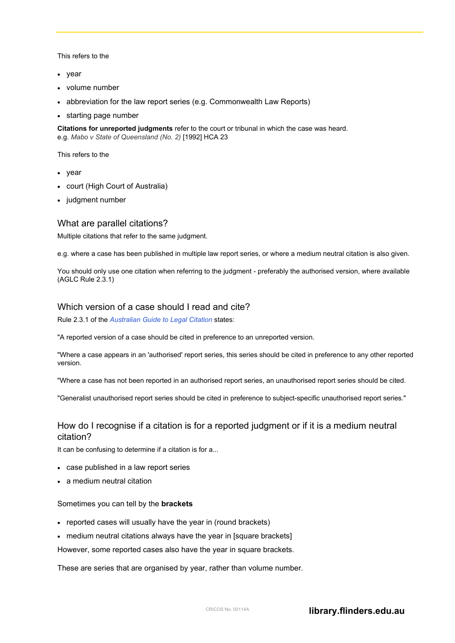This refers to the

- year
- volume number
- abbreviation for the law report series (e.g. Commonwealth Law Reports)
- starting page number

**Citations for unreported judgments** refer to the court or tribunal in which the case was heard. e.g. *Mabo v State of Queensland (No. 2)* [1992] HCA 23

This refers to the

- year
- court (High Court of Australia)
- judgment number

#### What are parallel citations?

Multiple citations that refer to the same judgment.

e.g. where a case has been published in multiple law report series, or where a medium neutral citation is also given.

You should only use one citation when referring to the judgment - preferably the authorised version, where available (AGLC Rule 2.3.1)

## Which version of a case should I read and cite?

Rule 2.3.1 of the *[Australian Guide to Legal Citation](http://www.law.unimelb.edu.au/469B9330-4CA2-11E2-95000050568D0140)* states:

"A reported version of a case should be cited in preference to an unreported version.

"Where a case appears in an 'authorised' report series, this series should be cited in preference to any other reported version.

"Where a case has not been reported in an authorised report series, an unauthorised report series should be cited.

"Generalist unauthorised report series should be cited in preference to subject-specific unauthorised report series."

# How do I recognise if a citation is for a reported judgment or if it is a medium neutral citation?

It can be confusing to determine if a citation is for a...

- case published in a law report series
- a medium neutral citation

#### Sometimes you can tell by the **brackets**

- reported cases will usually have the year in (round brackets)
- medium neutral citations always have the year in [square brackets]

However, some reported cases also have the year in square brackets.

These are series that are organised by year, rather than volume number.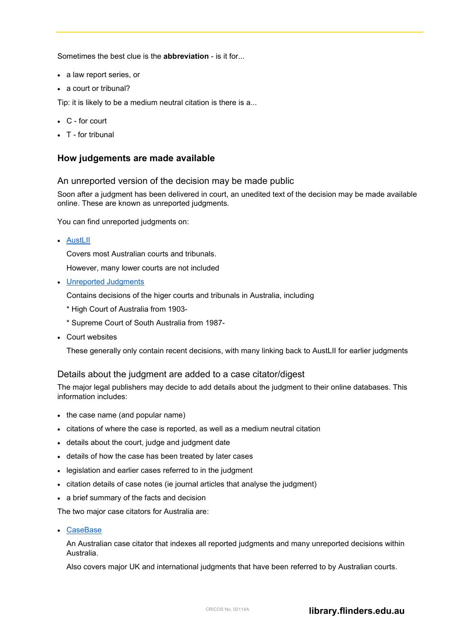Sometimes the best clue is the **abbreviation** - is it for...

- a law report series, or
- a court or tribunal?

Tip: it is likely to be a medium neutral citation is there is a...

- C for court
- T for tribunal

## **How judgements are made available**

#### An unreported version of the decision may be made public

Soon after a judgment has been delivered in court, an unedited text of the decision may be made available online. These are known as unreported judgments.

You can find unreported judgments on:

• [AustLII](http://www.austlii.edu.au/)

Covers most Australian courts and tribunals.

However, many lower courts are not included

• [Unreported Judgments](https://ezproxy.flinders.edu.au/login?url=http://www.lexisnexis.com/au/legal/srcsel/selectedSources.do?origin=SRCQL&sourceId=Q_CAT1000001.T15920904)

Contains decisions of the higer courts and tribunals in Australia, including

- \* High Court of Australia from 1903-
- \* Supreme Court of South Australia from 1987-
- Court websites

These generally only contain recent decisions, with many linking back to AustLII for earlier judgments

## Details about the judgment are added to a case citator/digest

The major legal publishers may decide to add details about the judgment to their online databases. This information includes:

- the case name (and popular name)
- citations of where the case is reported, as well as a medium neutral citation
- details about the court, judge and judgment date
- details of how the case has been treated by later cases
- legislation and earlier cases referred to in the judgment
- citation details of case notes (ie journal articles that analyse the judgment)
- a brief summary of the facts and decision

The two major case citators for Australia are:

• [CaseBase](https://ezproxy.flinders.edu.au/login?url=http://www.lexisnexis.com/au/legal/srcsel/selectedSources.do?origin=SRCQL&sourceId=Q_CAT1000001.T15920900)

An Australian case citator that indexes all reported judgments and many unreported decisions within Australia.

Also covers major UK and international judgments that have been referred to by Australian courts.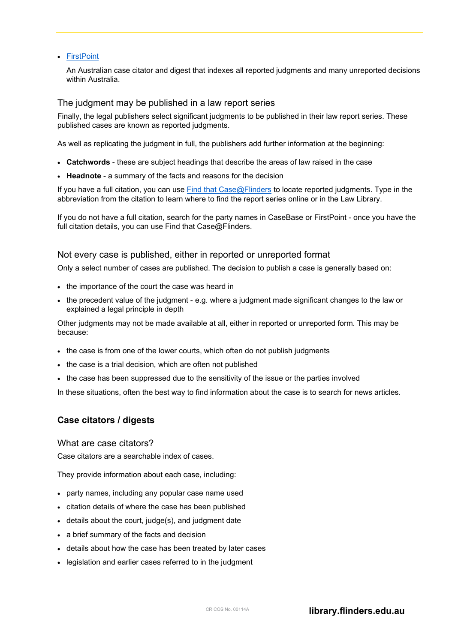#### • [FirstPoint](https://ezproxy.flinders.edu.au/login?url=http://www.westlaw.com.au/maf/app/link/toc?cs=AUNZ_AU_FIRSTPOINT)

An Australian case citator and digest that indexes all reported judgments and many unreported decisions within Australia.

## The judgment may be published in a law report series

Finally, the legal publishers select significant judgments to be published in their law report series. These published cases are known as reported judgments.

As well as replicating the judgment in full, the publishers add further information at the beginning:

- **Catchwords** these are subject headings that describe the areas of law raised in the case
- **Headnote** a summary of the facts and reasons for the decision

If you have a full citation, you can use [Find that Case@Flinders](https://libsys.flinders.edu.au/abbrev/) to locate reported judgments. Type in the abbreviation from the citation to learn where to find the report series online or in the Law Library.

If you do not have a full citation, search for the party names in CaseBase or FirstPoint - once you have the full citation details, you can use Find that Case@Flinders.

## Not every case is published, either in reported or unreported format

Only a select number of cases are published. The decision to publish a case is generally based on:

- the importance of the court the case was heard in
- the precedent value of the judgment e.g. where a judgment made significant changes to the law or explained a legal principle in depth

Other judgments may not be made available at all, either in reported or unreported form. This may be because:

- the case is from one of the lower courts, which often do not publish judgments
- the case is a trial decision, which are often not published
- the case has been suppressed due to the sensitivity of the issue or the parties involved

In these situations, often the best way to find information about the case is to search for news articles.

# **Case citators / digests**

## What are case citators?

Case citators are a searchable index of cases.

They provide information about each case, including:

- party names, including any popular case name used
- citation details of where the case has been published
- details about the court, judge(s), and judgment date
- a brief summary of the facts and decision
- details about how the case has been treated by later cases
- legislation and earlier cases referred to in the judgment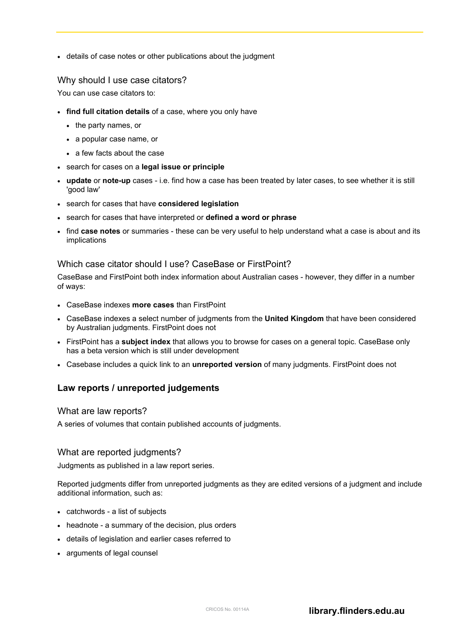• details of case notes or other publications about the judgment

## Why should I use case citators?

You can use case citators to:

- **find full citation details** of a case, where you only have
	- the party names, or
	- a popular case name, or
	- a few facts about the case
- search for cases on a **legal issue or principle**
- **update** or **note-up** cases i.e. find how a case has been treated by later cases, to see whether it is still 'good law'
- search for cases that have **considered legislation**
- search for cases that have interpreted or **defined a word or phrase**
- find **case notes** or summaries these can be very useful to help understand what a case is about and its implications

# Which case citator should I use? CaseBase or FirstPoint?

CaseBase and FirstPoint both index information about Australian cases - however, they differ in a number of ways:

- CaseBase indexes **more cases** than FirstPoint
- CaseBase indexes a select number of judgments from the **United Kingdom** that have been considered by Australian judgments. FirstPoint does not
- FirstPoint has a **subject index** that allows you to browse for cases on a general topic. CaseBase only has a beta version which is still under development
- Casebase includes a quick link to an **unreported version** of many judgments. FirstPoint does not

# **Law reports / unreported judgements**

# What are law reports?

A series of volumes that contain published accounts of judgments.

# What are reported judgments?

Judgments as published in a law report series.

Reported judgments differ from unreported judgments as they are edited versions of a judgment and include additional information, such as:

- catchwords a list of subjects
- headnote a summary of the decision, plus orders
- details of legislation and earlier cases referred to
- arguments of legal counsel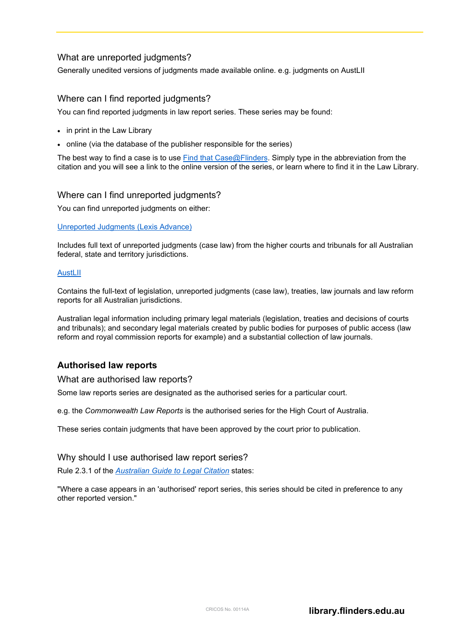# What are unreported judgments?

Generally unedited versions of judgments made available online. e.g. judgments on AustLII

# Where can I find reported judgments?

You can find reported judgments in law report series. These series may be found:

- in print in the Law Library
- online (via the database of the publisher responsible for the series)

The best way to find a case is to use [Find that Case@Flinders.](https://libsys.flinders.edu.au/abbrev/) Simply type in the abbreviation from the citation and you will see a link to the online version of the series, or learn where to find it in the Law Library.

## Where can I find unreported judgments?

You can find unreported judgments on either:

#### [Unreported Judgments \(Lexis Advance\)](https://advance.lexis.com/api/search?source=MTA3MjQxNA.MTA3MjQxNQ.MTA3MjQxNg.MTA3MjQxNw.MTA3MjQxOA.MTA3MjQxOQ.MTA3MjQyMA.MTA3MjQyMQ.MTA3MjQyMg.MTA3MjQyMw.MTA3MjQyNA.MTA3MjYxMw.MTA3MjYxNA.MTA3MjYxNQ.MTA3MjYxNg.MTA3MjYxNw&federationidp=SFHJ6R50981)

Includes full text of unreported judgments (case law) from the higher courts and tribunals for all Australian federal, state and territory jurisdictions.

#### **[AustLII](http://www.austlii.edu.au/)**

Contains the full-text of legislation, unreported judgments (case law), treaties, law journals and law reform reports for all Australian jurisdictions.

Australian legal information including primary legal materials (legislation, treaties and decisions of courts and tribunals); and secondary legal materials created by public bodies for purposes of public access (law reform and royal commission reports for example) and a substantial collection of law journals.

# **Authorised law reports**

What are authorised law reports?

Some law reports series are designated as the authorised series for a particular court.

e.g. the *Commonwealth Law Reports* is the authorised series for the High Court of Australia.

These series contain judgments that have been approved by the court prior to publication.

## Why should I use authorised law report series?

Rule 2.3.1 of the *[Australian Guide to Legal Citation](http://www.law.unimelb.edu.au/469B9330-4CA2-11E2-95000050568D0140)* states:

"Where a case appears in an 'authorised' report series, this series should be cited in preference to any other reported version."